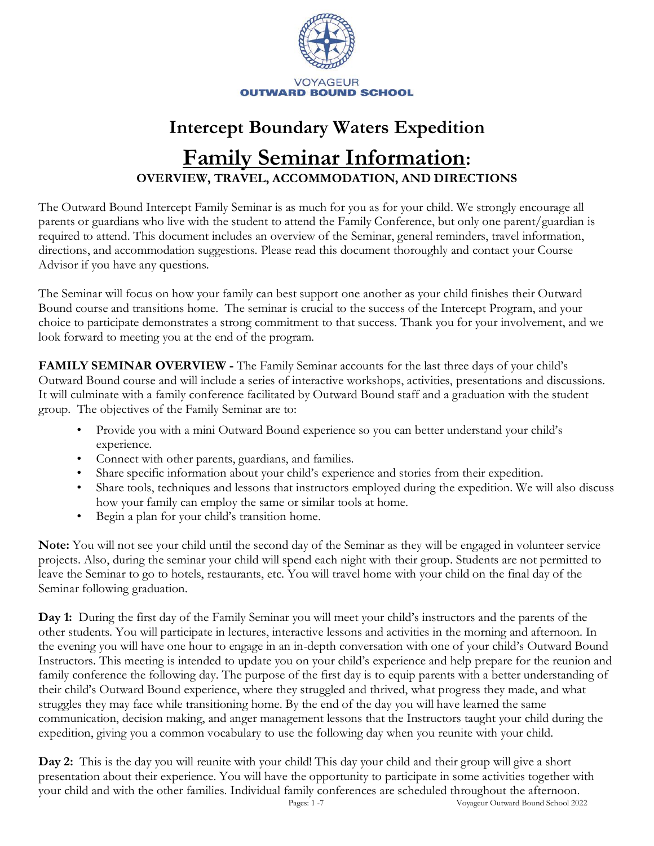

## **Intercept Boundary Waters Expedition Family Seminar Information: OVERVIEW, TRAVEL, ACCOMMODATION, AND DIRECTIONS**

The Outward Bound Intercept Family Seminar is as much for you as for your child. We strongly encourage all parents or guardians who live with the student to attend the Family Conference, but only one parent/guardian is required to attend. This document includes an overview of the Seminar, general reminders, travel information, directions, and accommodation suggestions. Please read this document thoroughly and contact your Course Advisor if you have any questions.

The Seminar will focus on how your family can best support one another as your child finishes their Outward Bound course and transitions home. The seminar is crucial to the success of the Intercept Program, and your choice to participate demonstrates a strong commitment to that success. Thank you for your involvement, and we look forward to meeting you at the end of the program.

**FAMILY SEMINAR OVERVIEW -** The Family Seminar accounts for the last three days of your child's Outward Bound course and will include a series of interactive workshops, activities, presentations and discussions. It will culminate with a family conference facilitated by Outward Bound staff and a graduation with the student group. The objectives of the Family Seminar are to:

- Provide you with a mini Outward Bound experience so you can better understand your child's experience.
- Connect with other parents, guardians, and families.
- Share specific information about your child's experience and stories from their expedition.
- Share tools, techniques and lessons that instructors employed during the expedition. We will also discuss how your family can employ the same or similar tools at home.
- Begin a plan for your child's transition home.

**Note:** You will not see your child until the second day of the Seminar as they will be engaged in volunteer service projects. Also, during the seminar your child will spend each night with their group. Students are not permitted to leave the Seminar to go to hotels, restaurants, etc. You will travel home with your child on the final day of the Seminar following graduation.

**Day 1:** During the first day of the Family Seminar you will meet your child's instructors and the parents of the other students. You will participate in lectures, interactive lessons and activities in the morning and afternoon. In the evening you will have one hour to engage in an in-depth conversation with one of your child's Outward Bound Instructors. This meeting is intended to update you on your child's experience and help prepare for the reunion and family conference the following day. The purpose of the first day is to equip parents with a better understanding of their child's Outward Bound experience, where they struggled and thrived, what progress they made, and what struggles they may face while transitioning home. By the end of the day you will have learned the same communication, decision making, and anger management lessons that the Instructors taught your child during the expedition, giving you a common vocabulary to use the following day when you reunite with your child.

Pages: 1 -7 Voyageur Outward Bound School 2022 **Day 2:** This is the day you will reunite with your child! This day your child and their group will give a short presentation about their experience. You will have the opportunity to participate in some activities together with your child and with the other families. Individual family conferences are scheduled throughout the afternoon.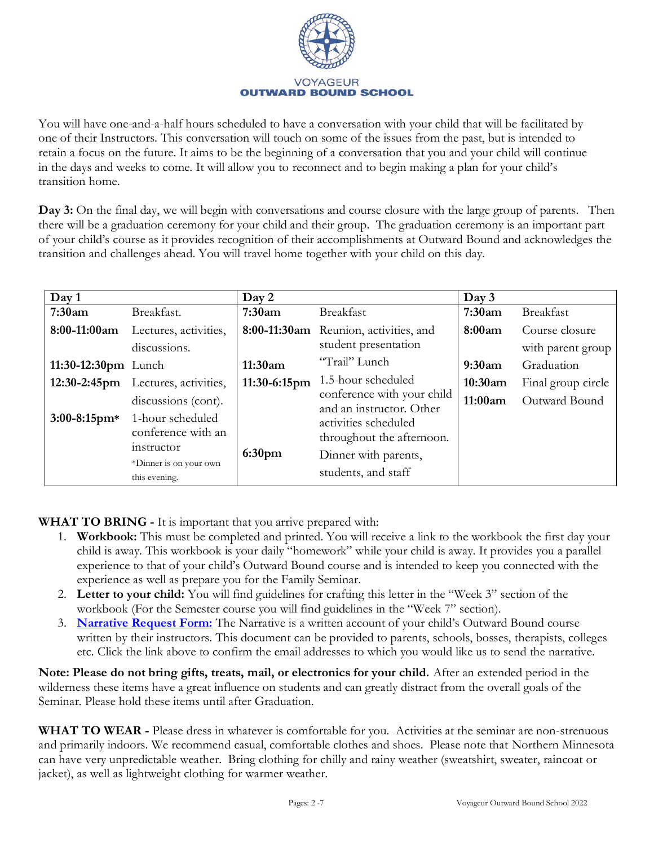

You will have one-and-a-half hours scheduled to have a conversation with your child that will be facilitated by one of their Instructors. This conversation will touch on some of the issues from the past, but is intended to retain a focus on the future. It aims to be the beginning of a conversation that you and your child will continue in the days and weeks to come. It will allow you to reconnect and to begin making a plan for your child's transition home.

**Day 3:** On the final day, we will begin with conversations and course closure with the large group of parents. Then there will be a graduation ceremony for your child and their group. The graduation ceremony is an important part of your child's course as it provides recognition of their accomplishments at Outward Bound and acknowledges the transition and challenges ahead. You will travel home together with your child on this day.

| Day 1               |                                                                                                 | Day 2              |                                                                                                  | Day 3   |                    |
|---------------------|-------------------------------------------------------------------------------------------------|--------------------|--------------------------------------------------------------------------------------------------|---------|--------------------|
| 7:30am              | Breakfast.                                                                                      | 7:30am             | Breakfast                                                                                        | 7:30am  | Breakfast          |
| 8:00-11:00am        | Lectures, activities,                                                                           |                    | 8:00-11:30am Reunion, activities, and                                                            | 8:00am  | Course closure     |
|                     | discussions.                                                                                    |                    | student presentation                                                                             |         | with parent group  |
| 11:30-12:30pm Lunch |                                                                                                 | 11:30am            | "Trail" Lunch                                                                                    | 9:30am  | Graduation         |
|                     | 12:30-2:45pm Lectures, activities,                                                              | 11:30-6:15pm       | 1.5-hour scheduled                                                                               | 10:30am | Final group circle |
|                     | discussions (cont).                                                                             |                    | conference with your child<br>and an instructor. Other                                           | 11:00am | Outward Bound      |
| $3:00-8:15$ pm*     | 1-hour scheduled<br>conference with an<br>instructor<br>*Dinner is on your own<br>this evening. | 6:30 <sub>pm</sub> | activities scheduled<br>throughout the afternoon.<br>Dinner with parents,<br>students, and staff |         |                    |

**WHAT TO BRING -** It is important that you arrive prepared with:

- 1. **Workbook:** This must be completed and printed. You will receive a link to the workbook the first day your child is away. This workbook is your daily "homework" while your child is away. It provides you a parallel experience to that of your child's Outward Bound course and is intended to keep you connected with the experience as well as prepare you for the Family Seminar.
- 2. **Letter to your child:** You will find guidelines for crafting this letter in the "Week 3" section of the workbook (For the Semester course you will find guidelines in the "Week 7" section).
- 3. **[Narrative Request Form:](https://forms.gle/vwb8D7ofR4AjfWUH8)** The Narrative is a written account of your child's Outward Bound course written by their instructors. This document can be provided to parents, schools, bosses, therapists, colleges etc. Click the link above to confirm the email addresses to which you would like us to send the narrative.

**Note: Please do not bring gifts, treats, mail, or electronics for your child.** After an extended period in the wilderness these items have a great influence on students and can greatly distract from the overall goals of the Seminar. Please hold these items until after Graduation.

**WHAT TO WEAR -** Please dress in whatever is comfortable for you. Activities at the seminar are non-strenuous and primarily indoors. We recommend casual, comfortable clothes and shoes. Please note that Northern Minnesota can have very unpredictable weather. Bring clothing for chilly and rainy weather (sweatshirt, sweater, raincoat or jacket), as well as lightweight clothing for warmer weather.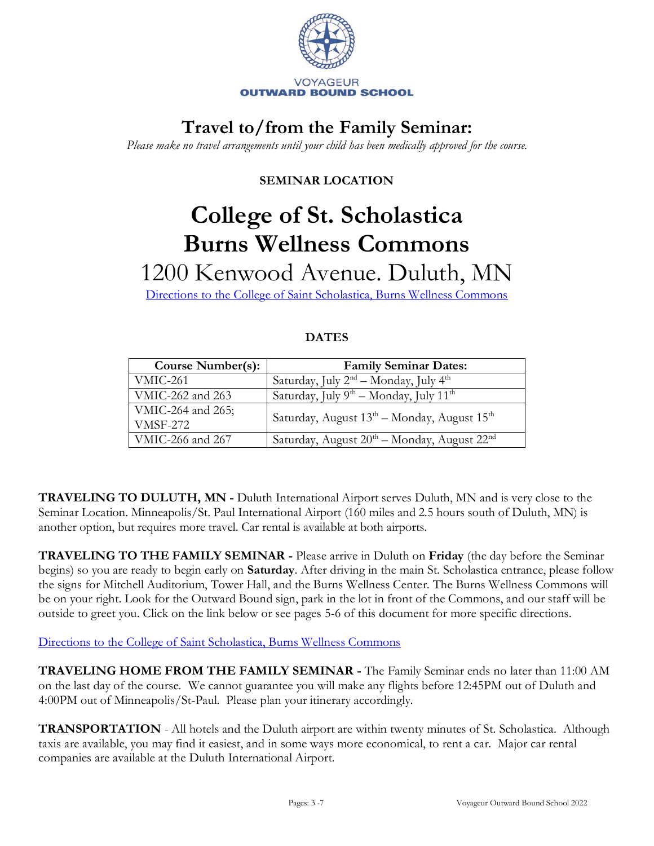

### **Travel to/from the Family Seminar:**

*Please make no travel arrangements until your child has been medically approved for the course.*

### **SEMINAR LOCATION**

# **College of St. Scholastica Burns Wellness Commons**

## 1200 Kenwood Avenue. Duluth, MN

[Directions to the College of Saint Scholastica, Burns Wellness Commons](https://www.google.com/maps/place/The+College+of+St.+Scholastica+Burns+Wellness+Commons/@46.817588,-92.1087737,17z/data=!3m1!4b1!4m5!3m4!1s0x52afad45c8fc3773:0xe2adaaee74f77fc5!8m2!3d46.817588!4d-92.106585)

### **DATES**

| <b>Course Number(s):</b> | <b>Family Seminar Dates:</b>                                        |  |  |
|--------------------------|---------------------------------------------------------------------|--|--|
| VMIC-261                 | Saturday, July $2^{nd}$ – Monday, July $4^{th}$                     |  |  |
| VMIC-262 and 263         | Saturday, July 9 <sup>th</sup> – Monday, July 11 <sup>th</sup>      |  |  |
| VMIC-264 and 265;        | Saturday, August 13 <sup>th</sup> – Monday, August 15 <sup>th</sup> |  |  |
| <b>VMSF-272</b>          |                                                                     |  |  |
| VMIC-266 and 267         | Saturday, August $20^{th}$ – Monday, August $22^{nd}$               |  |  |

**TRAVELING TO DULUTH, MN -** Duluth International Airport serves Duluth, MN and is very close to the Seminar Location. Minneapolis/St. Paul International Airport (160 miles and 2.5 hours south of Duluth, MN) is another option, but requires more travel. Car rental is available at both airports.

**TRAVELING TO THE FAMILY SEMINAR -** Please arrive in Duluth on **Friday** (the day before the Seminar begins) so you are ready to begin early on **Saturday**. After driving in the main St. Scholastica entrance, please follow the signs for Mitchell Auditorium, Tower Hall, and the Burns Wellness Center. The Burns Wellness Commons will be on your right. Look for the Outward Bound sign, park in the lot in front of the Commons, and our staff will be outside to greet you. Click on the link below or see pages 5-6 of this document for more specific directions.

[Directions to the College of Saint Scholastica, Burns Wellness Commons](https://www.google.com/maps/place/The+College+of+St.+Scholastica+Burns+Wellness+Commons/@46.817588,-92.1087737,17z/data=!3m1!4b1!4m5!3m4!1s0x52afad45c8fc3773:0xe2adaaee74f77fc5!8m2!3d46.817588!4d-92.106585)

**TRAVELING HOME FROM THE FAMILY SEMINAR -** The Family Seminar ends no later than 11:00 AM on the last day of the course. We cannot guarantee you will make any flights before 12:45PM out of Duluth and 4:00PM out of Minneapolis/St-Paul. Please plan your itinerary accordingly.

**TRANSPORTATION** - All hotels and the Duluth airport are within twenty minutes of St. Scholastica. Although taxis are available, you may find it easiest, and in some ways more economical, to rent a car. Major car rental companies are available at the Duluth International Airport.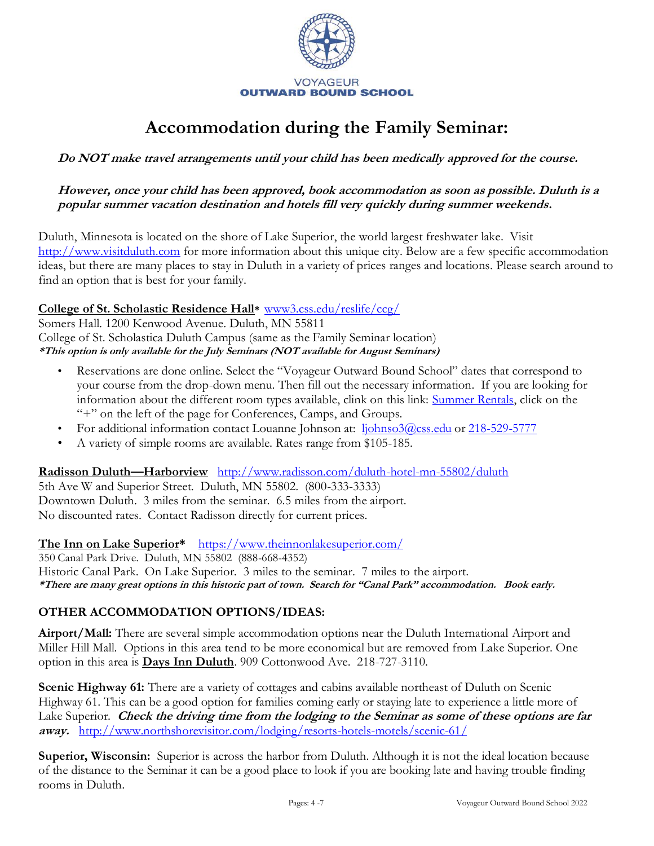

## **Accommodation during the Family Seminar:**

**Do NOT make travel arrangements until your child has been medically approved for the course.**

**However, once your child has been approved, book accommodation as soon as possible. Duluth is a popular summer vacation destination and hotels fill very quickly during summer weekends.**

Duluth, Minnesota is located on the shore of Lake Superior, the world largest freshwater lake. Visit [http://www.visitduluth.com](http://www.visitduluth.com/) for more information about this unique city. Below are a few specific accommodation ideas, but there are many places to stay in Duluth in a variety of prices ranges and locations. Please search around to find an option that is best for your family.

#### **College of St. Scholastic Residence Hall\*** [www3.css.edu/reslife/ccg/](https://www3.css.edu/reslife/ccg/)

Somers Hall. 1200 Kenwood Avenue. Duluth, MN 55811 College of St. Scholastica Duluth Campus (same as the Family Seminar location) **\*This option is only available for the July Seminars (NOT available for August Seminars)**

- Reservations are done online. Select the "Voyageur Outward Bound School" dates that correspond to your course from the drop-down menu. Then fill out the necessary information. If you are looking for information about the different room types available, clink on this link: [Summer Rentals,](https://www.css.edu/campus-life/campus-housing/guest-and-conference-rentals/) click on the "+" on the left of the page for Conferences, Camps, and Groups.
- For additional information contact Louanne Johnson at: [ljohnso3@css.edu](mailto:ljohnso3@css.edu) or [218-529-5777](tel:218%2F529-5777)
- A variety of simple rooms are available. Rates range from \$105-185.

#### **Radisson Duluth—Harborview** <http://www.radisson.com/duluth-hotel-mn-55802/duluth>

5th Ave W and Superior Street. Duluth, MN 55802. (800-333-3333) Downtown Duluth. 3 miles from the seminar. 6.5 miles from the airport. No discounted rates. Contact Radisson directly for current prices.

**The Inn on Lake Superior\*** <https://www.theinnonlakesuperior.com/>

350 Canal Park Drive. Duluth, MN 55802 (888-668-4352) Historic Canal Park. On Lake Superior. 3 miles to the seminar. 7 miles to the airport. **\*There are many great options in this historic part of town. Search for "Canal Park" accommodation. Book early.**

#### **OTHER ACCOMMODATION OPTIONS/IDEAS:**

**Airport/Mall:** There are several simple accommodation options near the Duluth International Airport and Miller Hill Mall. Options in this area tend to be more economical but are removed from Lake Superior. One option in this area is **Days Inn Duluth**. 909 Cottonwood Ave. 218-727-3110.

**Scenic Highway 61:** There are a variety of cottages and cabins available northeast of Duluth on Scenic Highway 61. This can be a good option for families coming early or staying late to experience a little more of Lake Superior. **Check the driving time from the lodging to the Seminar as some of these options are far away.** <http://www.northshorevisitor.com/lodging/resorts-hotels-motels/scenic-61/>

**Superior, Wisconsin:** Superior is across the harbor from Duluth. Although it is not the ideal location because of the distance to the Seminar it can be a good place to look if you are booking late and having trouble finding rooms in Duluth.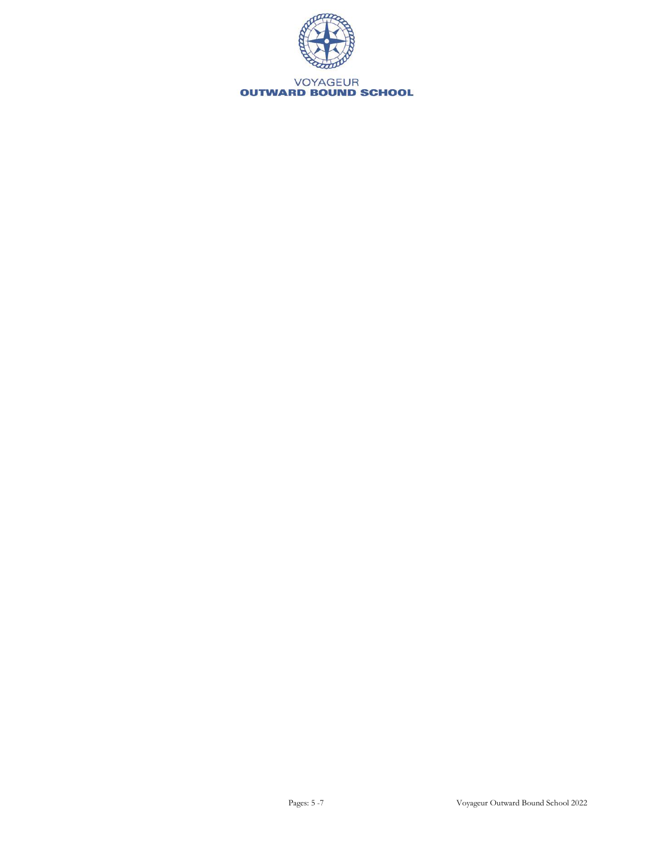

**VOYAGEUR<br>OUTWARD BOUND SCHOOL**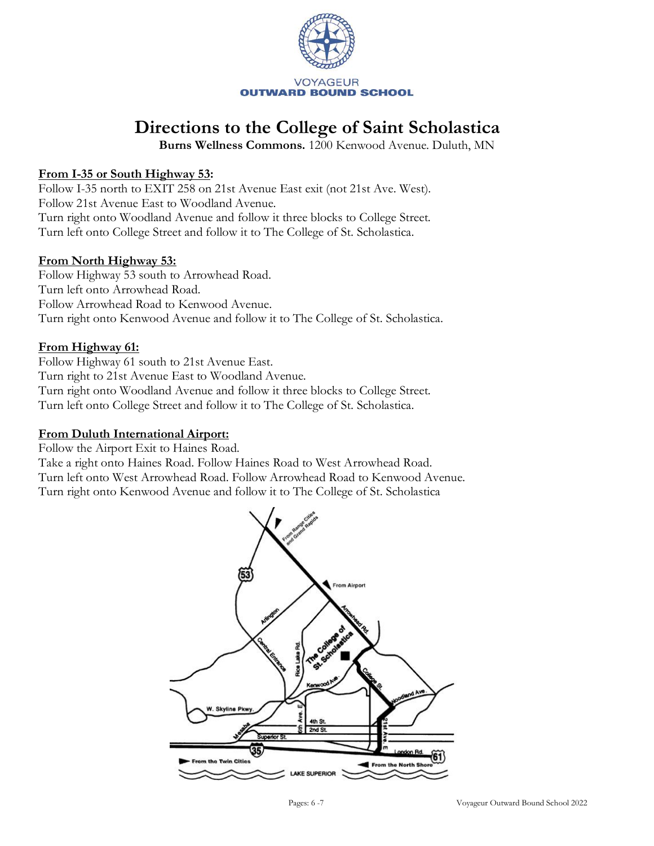

## **Directions to the College of Saint Scholastica**

**Burns Wellness Commons.** 1200 Kenwood Avenue. Duluth, MN

#### **From I-35 or South Highway 53:**

Follow I-35 north to EXIT 258 on 21st Avenue East exit (not 21st Ave. West). Follow 21st Avenue East to Woodland Avenue. Turn right onto Woodland Avenue and follow it three blocks to College Street. Turn left onto College Street and follow it to The College of St. Scholastica.

#### **From North Highway 53:**

Follow Highway 53 south to Arrowhead Road. Turn left onto Arrowhead Road. Follow Arrowhead Road to Kenwood Avenue. Turn right onto Kenwood Avenue and follow it to The College of St. Scholastica.

#### **From Highway 61:**

Follow Highway 61 south to 21st Avenue East. Turn right to 21st Avenue East to Woodland Avenue. Turn right onto Woodland Avenue and follow it three blocks to College Street. Turn left onto College Street and follow it to The College of St. Scholastica.

#### **From Duluth International Airport:**

Follow the Airport Exit to Haines Road. Take a right onto Haines Road. Follow Haines Road to West Arrowhead Road. Turn left onto West Arrowhead Road. Follow Arrowhead Road to Kenwood Avenue. Turn right onto Kenwood Avenue and follow it to The College of St. Scholastica